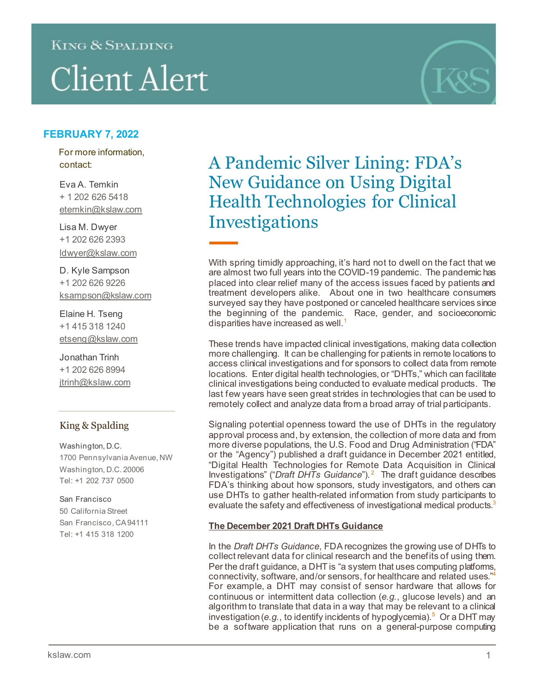# KING & SPALDING

# **Client Alert**



# **FEBRUARY 7, 2022**

For more information, contact:

Eva A. Temkin + 1 202 626 5418 etemkin@kslaw.com

Lisa M. Dwyer +1 202 626 2393 [ldwyer@kslaw.com](mailto:ldwyer@kslaw.com)

D. Kyle Sampson +1 202 626 9226 [ksampson@kslaw.com](mailto:jtrinh@kslaw.com)

Elaine H. Tseng +1 415 318 1240 [etseng@kslaw.com](mailto:jtrinh@kslaw.com)

Jonathan Trinh +1 202 626 8994 [jtrinh@kslaw.com](mailto:jtrinh@kslaw.com)

## King & Spalding

Washington, D.C. 1700 Pennsylvania Avenue, NW Washington, D.C. 20006 Tel: +1 202 737 0500

#### San Francisco 50 California Street San Francisco, CA 94111 Tel: +1 415 318 1200

A Pandemic Silver Lining: FDA's New Guidance on Using Digital Health Technologies for Clinical Investigations

With spring timidly approaching, it's hard not to dwell on the fact that we are almost two full years into the COVID-19 pandemic. The pandemic has placed into clear relief many of the access issues faced by patients and treatment developers alike. About one in two healthcare consumers surveyed say they have postponed or canceled healthcare services since the beginning of the pandemic. Race, gender, and socioeconomic disparities have increased as well. [1](#page-4-0)

These trends have impacted clinical investigations, making data collection more challenging. It can be challenging for patients in remote locations to access clinical investigations and for sponsors to collect data from remote locations. Enter digital health technologies, or "DHTs," which can facilitate clinical investigations being conducted to evaluate medical products. The last few years have seen great strides in technologies that can be used to remotely collect and analyze data from a broad array of trial participants.

Signaling potential openness toward the use of DHTs in the regulatory approval process and, by extension, the collection of more data and from more diverse populations, the U.S. Food and Drug Administration ("FDA" or the "Agency") published a draft guidance in December 2021 entitled, "Digital Health Technologies for Remote Data Acquisition in Clinical Investigations" ("*Draft DHTs Guidance*"). [2](#page-4-1) The draft guidance describes FDA's thinking about how sponsors, study investigators, and others can use DHTs to gather health-related information from study participants to evaluate the safety and effectiveness of investigational medical products.<sup>3</sup>

#### **The December 2021 Draft DHTs Guidance**

In the *Draft DHTs Guidance*, FDA recognizes the growing use of DHTs to collect relevant data for clinical research and the benefits of using them. Per the draft guidance, a DHT is "a system that uses computing platforms, connectivity, software, and/or sensors, for healthcare and related uses.["4](#page-4-3) For example, a DHT may consist of sensor hardware that allows for continuous or intermittent data collection (*e.g.*, glucose levels) and an algorithm to translate that data in a way that may be relevant to a clinical investigation (*e.g.*, to identify incidents of hypoglycemia).<sup>[5](#page-4-4)</sup> Or a DHT may be a software application that runs on a general-purpose computing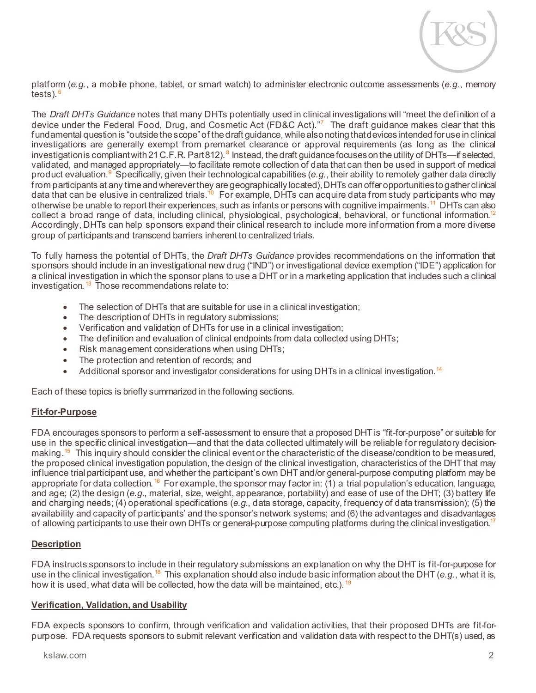

platform (*e.g.*, a mobile phone, tablet, or smart watch) to administer electronic outcome assessments (*e.g.*, memory tests). $<sup>6</sup>$  $<sup>6</sup>$  $<sup>6</sup>$ </sup>

The *Draft DHTs Guidance* notes that many DHTs potentially used in clinical investigations will "meet the definition of a device under the Federal Food, Drug, and Cosmetic Act (FD&C Act)."<sup>[7](#page-4-6)</sup> The draft guidance makes clear that this fundamental question is "outside the scope" of the draft guidance, while also noting that devices intended for use in clinical investigations are generally exempt from premarket clearance or approval requirements (as long as the clinical investigationis compliantwith 21 C.F.R. Part [8](#page-4-7)12).  $^8$  Instead, the draft guidance focuses on the utility of DHTs—if selected, validated, and managed appropriately—to facilitate remote collection of data that can then be used in support of medical product evaluation.<sup>[9](#page-4-8)</sup> Specifically, given their technological capabilities (*e.g.*, their ability to remotely gather data directly from participants at any time and wherever they are geographically located), DHTs can offer opportunities to gather clinical data that can be elusive in centralized trials.<sup>[10](#page-4-9)</sup> For example, DHTs can acquire data from study participants who may otherwise be unable to report their experiences, such as infants or persons with cognitive impairments.[11](#page-4-10) DHTs can also collect a broad range of data, including clinical, physiological, psychological, behavioral, or functional information.<sup>12</sup> Accordingly, DHTs can help sponsors expand their clinical research to include more information from a more diverse group of participants and transcend barriers inherent to centralized trials.

To fully harness the potential of DHTs, the *Draft DHTs Guidance* provides recommendations on the information that sponsors should include in an investigational new drug ("IND") or investigational device exemption ("IDE") application for a clinical investigation in which the sponsor plans to use a DHT or in a marketing application that includes such a clinical investigation.<sup>[13](#page-4-12)</sup> Those recommendations relate to:

- The selection of DHTs that are suitable for use in a clinical investigation;
- The description of DHTs in regulatory submissions;
- Verification and validation of DHTs for use in a clinical investigation;
- The definition and evaluation of clinical endpoints from data collected using DHTs;
- Risk management considerations when using DHTs;
- The protection and retention of records; and
- Additional sponsor and investigator considerations for using DHTs in a clinical investigation.<sup>14</sup>

Each of these topics is briefly summarized in the following sections.

#### **Fit-for-Purpose**

FDA encourages sponsors to perform a self-assessment to ensure that a proposed DHT is "fit-for-purpose" or suitable for use in the specific clinical investigation—and that the data collected ultimately will be reliable for regulatory decision-making.<sup>[15](#page-4-14)</sup> This inquiry should consider the clinical event or the characteristic of the disease/condition to be measured, the proposed clinical investigation population, the design of the clinical investigation, characteristics of the DHT that may influence trial participant use, and whether the participant's own DHT and/or general-purpose computing platform may be appropriate for data collection. <sup>[16](#page-4-15)</sup> For example, the sponsor may factor in: (1) a trial population's education, language, and age; (2) the design (*e.g.*, material, size, weight, appearance, portability) and ease of use of the DHT; (3) battery life and charging needs; (4) operational specifications (*e.g.*, data storage, capacity, frequency of data transmission); (5) the availability and capacity of participants' and the sponsor's network systems; and (6) the advantages and disadvantages of allowing participants to use their own DHTs or general-purpose computing platforms during the clinical investigation.<sup>17</sup>

#### **Description**

FDA instructs sponsors to include in their regulatory submissions an explanation on why the DHT is fit-for-purpose for use in the clinical investigation.[18](#page-4-17) This explanation should also include basic information about the DHT (*e.g.*, what it is, how it is used, what data will be collected, how the data will be maintained, etc.). <sup>[19](#page-4-18)</sup>

#### **Verification, Validation, and Usability**

FDA expects sponsors to confirm, through verification and validation activities, that their proposed DHTs are fit-forpurpose. FDA requests sponsors to submit relevant verification and validation data with respect to the DHT(s) used, as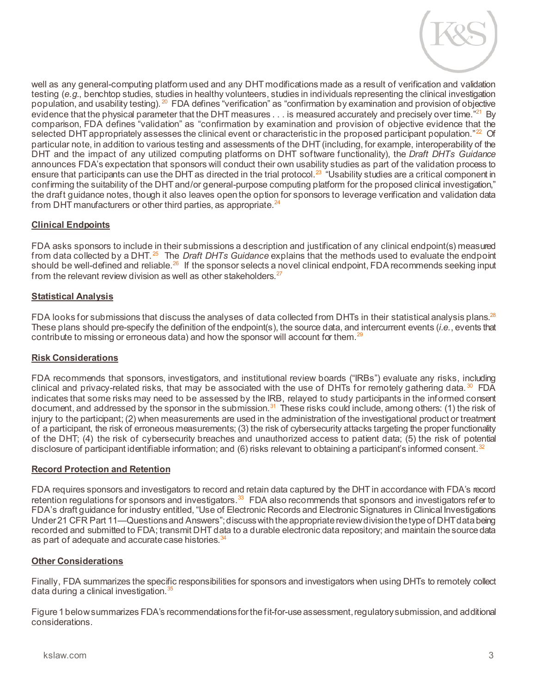

well as any general-computing platform used and any DHT modifications made as a result of verification and validation testing (*e.g.*, benchtop studies, studies in healthy volunteers, studies in individuals representing the clinical investigation population, and usability testing).<sup>[20](#page-4-19)</sup> FDA defines "verification" as "confirmation by examination and provision of objective evidence that the physical parameter that the DHT measures . . . is measured accurately and precisely over time."<sup>21</sup> By comparison, FDA defines "validation" as "confirmation by examination and provision of objective evidence that the selected DHT appropriately assesses the clinical event or characteristic in the proposed participant population. $22$  Of particular note, in addition to various testing and assessments of the DHT (including, for example, interoperability of the DHT and the impact of any utilized computing platforms on DHT software functionality), the *Draft DHTs Guidance* announces FDA's expectation that sponsors will conduct their own usability studies as part of the validation process to ensure that participants can use the DHT as directed in the trial protocol.<sup>[23](#page-4-22)</sup> "Usability studies are a critical component in confirming the suitability of the DHT and/or general-purpose computing platform for the proposed clinical investigation," the draft guidance notes, though it also leaves open the option for sponsors to leverage verification and validation data from DHT manufacturers or other third parties, as appropriate.<sup>[24](#page-4-23)</sup>

#### **Clinical Endpoints**

FDA asks sponsors to include in their submissions a description and justification of any clinical endpoint(s) measured from data collected by a DHT. [25](#page-4-24) The *Draft DHTs Guidance* explains that the methods used to evaluate the endpoint should be well-defined and reliable.<sup>[26](#page-4-25)</sup> If the sponsor selects a novel clinical endpoint, FDA recommends seeking input from the relevant review division as well as other stakeholders.<sup>[27](#page-4-26)</sup>

#### **Statistical Analysis**

FDA looks for submissions that discuss the analyses of data collected from DHTs in their statistical analysis plans.<sup>28</sup> These plans should pre-specify the definition of the endpoint(s), the source data, and intercurrent events (*i.e.*, events that contribute to missing or erroneous data) and how the sponsor will account for them. $29$ 

#### **Risk Considerations**

FDA recommends that sponsors, investigators, and institutional review boards ("IRBs") evaluate any risks, including clinical and privacy-related risks, that may be associated with the use of DHTs for remotely gathering data.  $30\text{ }\text{FDA}$  $30\text{ }\text{FDA}$ indicates that some risks may need to be assessed by the IRB, relayed to study participants in the informed consent document, and addressed by the sponsor in the submission.<sup>[31](#page-4-30)</sup> These risks could include, among others: (1) the risk of injury to the participant; (2) when measurements are used in the administration of the investigational product or treatment of a participant, the risk of erroneous measurements; (3) the risk of cybersecurity attacks targeting the proper functionality of the DHT; (4) the risk of cybersecurity breaches and unauthorized access to patient data; (5) the risk of potential disclosure of participant identifiable information; and (6) risks relevant to obtaining a participant's informed consent.<sup>[32](#page-4-31)</sup>

#### **Record Protection and Retention**

FDA requires sponsors and investigators to record and retain data captured by the DHT in accordance with FDA's record retention regulations for sponsors and investigators.<sup>[33](#page-5-0)</sup> FDA also recommends that sponsors and investigators refer to FDA's draft guidance for industry entitled, "Use of Electronic Records and Electronic Signatures in Clinical Investigations Under 21 CFR Part 11—Questions and Answers";discuss with the appropriate review division the type of DHT data being recorded and submitted to FDA; transmit DHT data to a durable electronic data repository; and maintain the source data as part of adequate and accurate case histories.<sup>[34](#page-5-1)</sup>

#### **Other Considerations**

Finally, FDA summarizes the specific responsibilities for sponsors and investigators when using DHTs to remotely collect data during a clinical investigation.<sup>35</sup>

Figure 1 below summarizes FDA's recommendations for the fit-for-use assessment, regulatory submission, and additional considerations.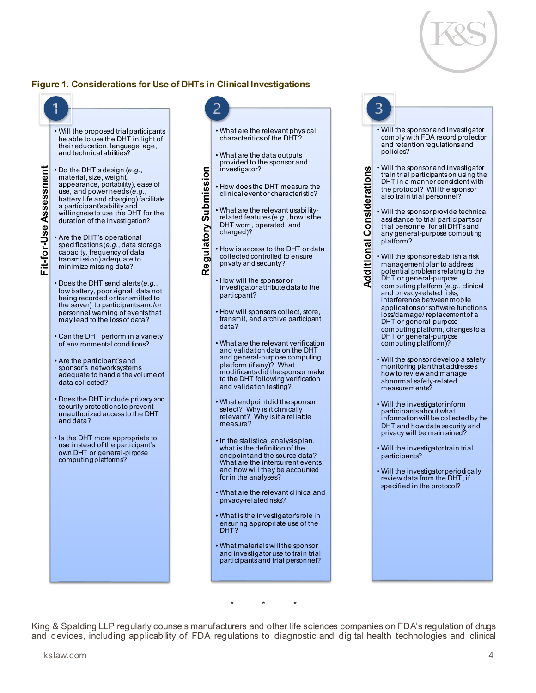

### **Figure 1. Considerations for Use of DHTs in Clinical Investigations**



King & Spalding LLP regularly counsels manufacturers and other life sciences companies on FDA's regulation of drugs<br>and devices, including applicability of FDA regulations to diagnostic and digital health technologies and

\* \* \*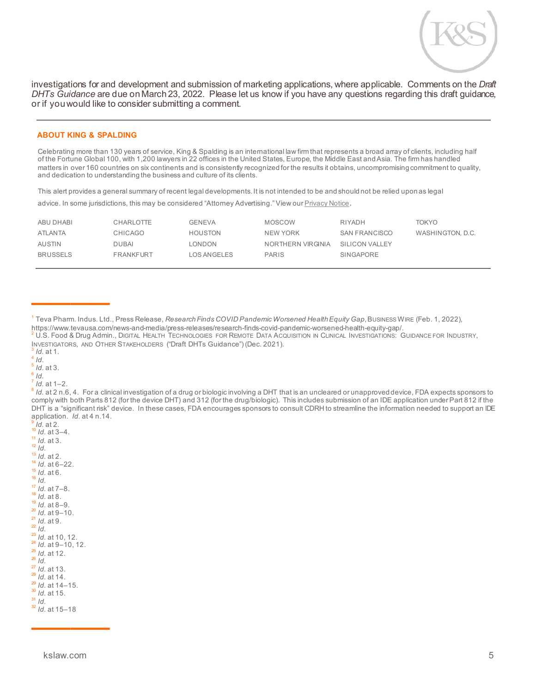

investigations for and development and submission of marketing applications, where applicable. Comments on the *Draft DHTs Guidance* are due on March 23, 2022. Please let us know if you have any questions regarding this draft guidance, or if you would like to consider submitting a comment.

#### **ABOUT KING & SPALDING**

Celebrating more than 130 years of service, King & Spalding is an international law firm that represents a broad array of clients, including half of the Fortune Global 100, with 1,200 lawyers in 22 offices in the United States, Europe, the Middle East and Asia. The firm has handled matters in over 160 countries on six continents and is consistently recognized for the results it obtains, uncompromising commitment to quality, and dedication to understanding the business and culture of its clients.

This alert provides a general summary of recent legal developments. It is not intended to be and should not be relied upon as legal

advice. In some jurisdictions, this may be considered "Attorney Advertising." View ou[r Privacy Notice](https://www.kslaw.com/pages/privacy-notice).

| ABU DHABI | CHARLOTTE        | <b>GENEVA</b>      | MOSCOW            | RIYADH               | TOKYO            |
|-----------|------------------|--------------------|-------------------|----------------------|------------------|
| ATLANTA   | CHICAGO          | HOUSTON            | NEW YORK          | <b>SAN FRANCISCO</b> | WASHINGTON, D.C. |
| AUSTIN    | <b>DUBAI</b>     | LONDON             | NORTHERN VIRGINIA | SILICON VALLEY       |                  |
| BRUSSELS  | <b>FRANKFURT</b> | <b>LOS ANGELES</b> | <b>PARIS</b>      | SINGAPORE            |                  |

- <span id="page-4-1"></span><sup>2</sup> U.S. Food & Drug Admin., DIGITAL HEALTH TECHNOLOGIES FOR REMOTE DATA ACQUISITION IN CLINICAL INVESTIGATIONS: GUIDANCE FOR INDUSTRY, INVESTIGATORS, AND OTHER STAKEHOLDERS ("Draft DHTs Guidance") (Dec. 2021).<br><sup>3</sup> *Id.* at 1.<br><sup>4</sup> *Id.*
- <span id="page-4-2"></span>
- 
- <span id="page-4-5"></span><span id="page-4-4"></span><span id="page-4-3"></span> $\frac{5}{6}$  *Id.* at 3.<br> $\frac{6}{7}$  *Id.* at 1–2.
- 
- 

————

<span id="page-4-7"></span><span id="page-4-6"></span><sup>8</sup> *Id.* at 2 n.6, 4. For a clinical investigation of a drug or biologic involving a DHT that is an uncleared or unapproved device, FDA expects sponsors to comply with both Parts 812 (for the device DHT) and 312 (for the drug/biologic). This includes submission of an IDE application under Part 812 if the DHT is a "significant risk" device. In these cases, FDA encourages sponsors to consult CDRH to streamline the information needed to support an IDE application. Id. at 4 n.14.

- <span id="page-4-14"></span><span id="page-4-13"></span><span id="page-4-12"></span><span id="page-4-11"></span><span id="page-4-10"></span><span id="page-4-9"></span><span id="page-4-8"></span>application. *Id.* at 4 n.14.<br><sup>9</sup> *Id.* at 2.<br><sup>11</sup> *Id.* at 3-4.<br><sup>11</sup> *Id.* at 3.<br><sup>12</sup> *Id.* at 3.<br><sup>12</sup> *Id.* at 3.<br><sup>14</sup> *Id.* at 6-22.<br><sup>15</sup> *Id.* at 6-22.<br><sup>16</sup> *Id.* at 6-22.<br><sup>19</sup> *Id.* at 6-9.<br><sup>29</sup> *Id.* at 9-10.<br><sup>21</sup> *I*
- <span id="page-4-23"></span><span id="page-4-22"></span><span id="page-4-21"></span><span id="page-4-20"></span><span id="page-4-19"></span><span id="page-4-18"></span><span id="page-4-17"></span><span id="page-4-16"></span><span id="page-4-15"></span>
- <span id="page-4-25"></span><span id="page-4-24"></span>

<span id="page-4-26"></span>

<span id="page-4-27"></span>

<span id="page-4-29"></span><span id="page-4-28"></span>

<span id="page-4-31"></span><span id="page-4-30"></span>

————

<span id="page-4-0"></span><sup>&</sup>lt;sup>1</sup> Teva Pharm. Indus. Ltd., Press Release, *Research Finds COVID Pandemic Worsened Health Equity Gap*, Business Wire (Feb. 1, 2022),<br>https://www.tevausa.com/news-and-media/press-releases/research-finds-covid-pandemic-wors